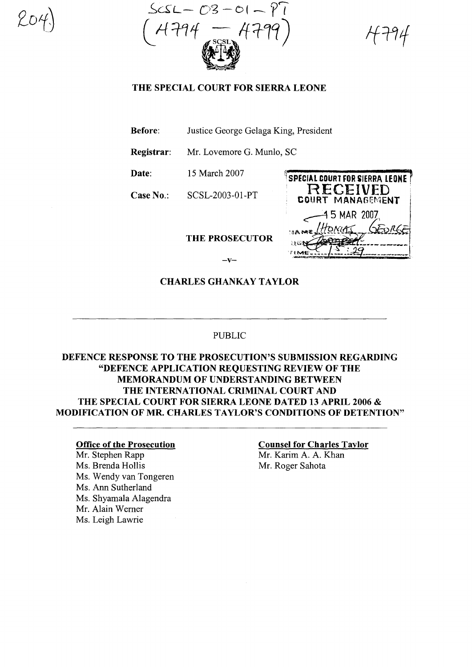$-C3-C1-\gamma'$ 

# THE SPECIAL COURT FOR SIERRA LEONE

Before: Justice George Gelaga King, President

Registrar: Mr. Lovemore G. Munlo, SC

Date: 15 March 2007

Case No.: SCSL-2003-0l-PT

THE PROSECUTOR

SPECIAL COURT FOR SIERRA LEONE **RECEIVED** COURT MANAGEMENT ~5 MAR 2007,  $\max_{i}$   $\frac{1}{10N}$   $\frac{1}{10}$  $M$  $T_{\text{LME}}$   $\frac{1}{3}$   $\frac{1}{2}$ 

# CHARLES GHANKAY TAYLOR

 $-\mathbf{v}$ 

#### PUBLIC

# DEFENCE RESPONSE TO THE PROSECUTION'S SUBMISSION REGARDING "DEFENCE APPLICATION REQUESTING REVIEW OF THE MEMORANDUM OF UNDERSTANDING BETWEEN THE INTERNATIONAL CRIMINAL COURT AND THE SPECIAL COURT FOR SIERRA LEONE DATED 13 APRIL 2006 & MODIFICATION OF MR. CHARLES TAYLOR'S CONDITIONS OF DETENTION"

#### Office of the Prosecution

Mr. Stephen Rapp Ms. Brenda Hollis Ms. Wendy van Tongeren Ms. Ann Sutherland Ms. Shyamala Alagendra Mr. Alain Werner Ms. Leigh Lawrie

### Counsel for Charles Taylor Mr. Karim A. A. Khan Mr. Roger Sahota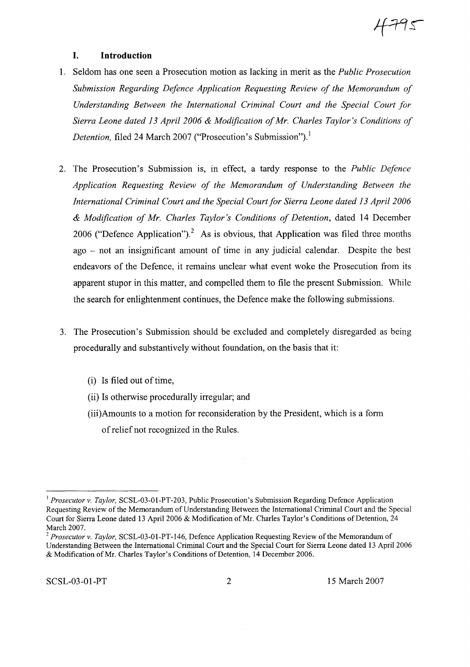# **I. Introduction**

- 1. Seldom has one seen a Prosecution motion as lacking in merit as the *Public Prosecution Submission Regarding Defence Application Requesting Review of the Memorandum of Understanding Between the International Criminal Court and the Special Court for Sierra Leone dated* 13 *April 2006* & *Modification ofMr. Charles Taylor's Conditions of Detention,* filed 24 March 2007 ("Prosecution's Submission").<sup>1</sup>
- 2. The Prosecution's Submission is, in effect, a tardy response to the *Public Defence Application Requesting Review of the Memorandum of Understanding Between the International Criminal Court and the Special Court for Sierra Leone dated* 13 *April 2006* & *Modification of Mr. Charles Taylor's Conditions of Detention,* dated 14 December 2006 ("Defence Application").<sup>2</sup> As is obvious, that Application was filed three months ago - not an insignificant amount of time in any judicial calendar. Despite the best endeavors of the Defence, it remains unclear what event woke the Prosecution from its apparent stupor in this matter, and compelled them to file the present Submission. While the search for enlightenment continues, the Defence make the following submissions.
- 3. The Prosecution's Submission should be excluded and completely disregarded as being procedurally and substantively without foundation, on the basis that it:
	- (i) Is filed out of time,
	- (ii) Is otherwise procedurally irregular; and
	- (iii)Amounts to a motion for reconsideration by the President, which is a form ofrelief not recognized in the Rules.

4795

<sup>&</sup>lt;sup>1</sup> Prosecutor v. Taylor, SCSL-03-01-PT-203, Public Prosecution's Submission Regarding Defence Application Requesting Review of the Memorandum of Understanding Between the International Criminal Court and the Special Court for Sierra Leone dated 13 April 2006 & Modification of Mr. Charles Taylor's Conditions of Detention, 24 March 2007.

*<sup>2</sup> Prosecutor v. Taylor,* SCSL-03-0l-PT-146, Defence Application Requesting Review ofthe Memorandum of Understanding Between the International Criminal Court and the Special Court for Sierra Leone dated 13 April 2006 & Modification of Mr. Charles Taylor's Conditions of Detention, 14 December 2006.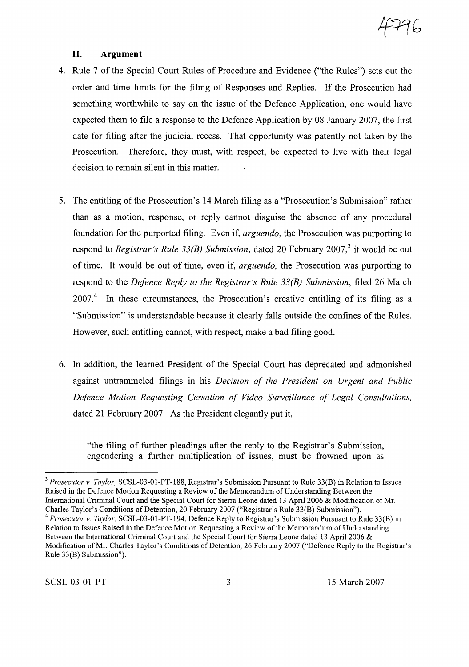

### **II. Argument**

- 4. Rule 7 of the Special Court Rules of Procedure and Evidence ("the Rules") sets out the order and time limits for the filing of Responses and Replies. If the Prosecution had something worthwhile to say on the issue of the Defence Application, one would have expected them to file a response to the Defence Application by 08 January 2007, the first date for filing after the judicial recess. That opportunity was patently not taken by the Prosecution. Therefore, they must, with respect, be expected to live with their legal decision to remain silent in this matter.
- 5. The entitling of the Prosecution's 14 March filing as a "Prosecution's Submission" rather than as a motion, response, or reply cannot disguise the absence of any procedural foundation for the purported filing. Even if, *arguendo,* the Prosecution was purporting to respond to *Registrar's Rule* 33(B) Submission, dated 20 February 2007,<sup>3</sup> it would be out of time. It would be out of time, even if, *arguendo,* the Prosecution was purporting to respond to the *Defence Reply to the Registrar's Rule 33(B) Submission,* filed 26 March 2007.<sup>4</sup> In these circumstances, the Prosecution's creative entitling of its filing as a "Submission" is understandable because it clearly falls outside the confines of the Rules. However, such entitling cannot, with respect, make a bad filing good.
- 6. In addition, the learned President of the Special Court has deprecated and admonished against untrammeled filings in his *Decision of the President on Urgent and Public Defence Motion Requesting Cessation of Video Surveillance of Legal Consultations,* dated 21 February 2007. As the President elegantly put it,

"the filing of further pleadings after the reply to the Registrar's Submission, engendering a further multiplication of issues, must be frowned upon as

<sup>3</sup> *Prosecutor v. Taylor,* SCSL-03-01-PT-188, Registrar's Submission Pursuant to Rule 33(B) in Relation to Issues Raised in the Defence Motion Requesting a Review of the Memorandum of Understanding Between the International Criminal Court and the Special Court for Sierra Leone dated 13 April 2006 & Modification of Mr. Charles Taylor's Conditions of Detention, 20 February 2007 ("Registrar's Rule 33(B) Submission").

*<sup>4</sup> Prosecutor v. Taylor,* SCSL-03-01-PT-194, Defence Reply to Registrar's Submission Pursuant to Rule 33(B) in Relation to Issues Raised in the Defence Motion Requesting a Review of the Memorandum of Understanding Between the International Criminal Court and the Special Court for Sierra Leone dated 13 April 2006 & Modification ofMr. Charles Taylor's Conditions of Detention, 26 February 2007 ("Defence Reply to the Registrar's Rule 33(B) Submission").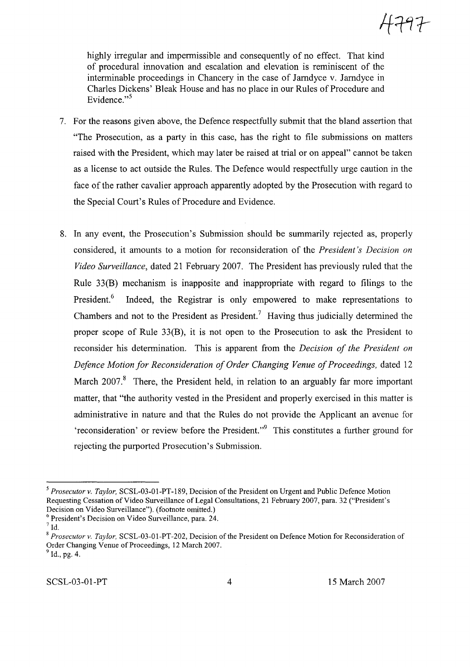highly irregular and impermissible and consequently of no effect. That kind of procedural innovation and escalation and elevation is reminiscent of the interminable proceedings in Chancery in the case of Jamdyce v. Jamdyce in Charles Dickens' Bleak House and has no place in our Rules of Procedure and Evidence." $5$ 

- 7. For the reasons given above, the Defence respectfully submit that the bland assertion that "The Prosecution, as a party in this case, has the right to file submissions on matters raised with the President, which may later be raised at trial or on appeal" cannot be taken as a license to act outside the Rules. The Defence would respectfully urge caution in the face of the rather cavalier approach apparently adopted by the Prosecution with regard to the Special Court's Rules of Procedure and Evidence.
- 8. In any event, the Prosecution's Submission should be summarily rejected as, properly considered, it amounts to a motion for reconsideration of the *President's Decision on Video Surveillance,* dated 21 February 2007. The President has previously ruled that the Rule 33(B) mechanism is inapposite and inappropriate with regard to filings to the President.<sup>6</sup> Indeed, the Registrar is only empowered to make representations to Chambers and not to the President as President.? Having thus judicially determined the proper scope of Rule 33(B), it is not open to the Prosecution to ask the President to reconsider his determination. This is apparent from the *Decision of the President on Defence Motion for Reconsideration of Order Changing Venue of Proceedings, dated 12* March 2007.<sup>8</sup> There, the President held, in relation to an arguably far more important matter, that "the authority vested in the President and properly exercised in this matter is administrative in nature and that the Rules do not provide the Applicant an avenue for 'reconsideration' or review before the President."<sup>9</sup> This constitutes a further ground for rejecting the purported Prosecution's Submission.

<sup>&</sup>lt;sup>5</sup> *Prosecutor v. Taylor*, SCSL-03-01-PT-189, Decision of the President on Urgent and Public Defence Motion Requesting Cessation of Video Surveillance of Legal Consultations, 21 February 2007, para. 32 ("President's Decision on Video Surveillance"). (footnote omitted.)

<sup>6</sup> President's Decision on Video Surveillance, para. 24.

 $<sup>7</sup>$  Id.</sup>

<sup>8</sup> *Prosecutor v. Taylor,* SCSL-03-01-PT-202, Decision ofthe President on Defence Motion for Reconsideration of Order Changing Venue of Proceedings, 12 March 2007.

 $^{9}$  Id., pg. 4.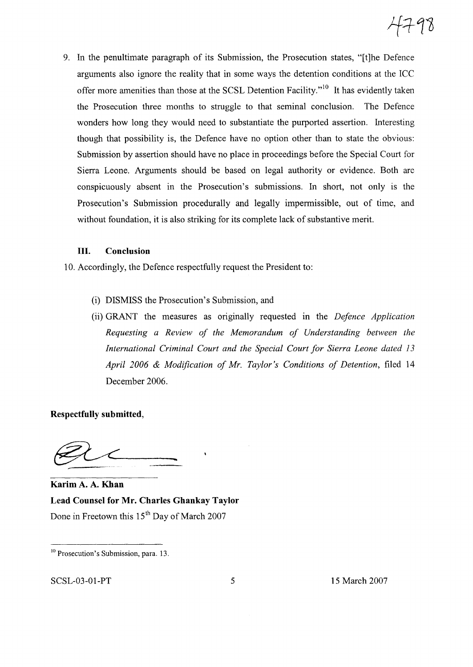9. In the penultimate paragraph of its Submission, the Prosecution states, "[t]he Defence arguments also ignore the reality that in some ways the detention conditions at the ICC offer more amenities than those at the SCSL Detention Facility."<sup>10</sup> It has evidently taken the Prosecution three months to struggle to that seminal conclusion. The Defence wonders how long they would need to substantiate the purported assertion. Interesting though that possibility is, the Defence have no option other than to state the obvious: Submission by assertion should have no place in proceedings before the Special Court for Sierra Leone. Arguments should be based on legal authority or evidence. Both are conspicuously absent in the Prosecution's submissions. In short, not only is the Prosecution's Submission procedurally and legally impermissible, out of time, and without foundation, it is also striking for its complete lack of substantive merit.

# **III. Conclusion**

10. Accordingly, the Defence respectfully request the President to:

- (i) DISMISS the Prosecution's Submission, and
- (ii) GRANT the measures as originally requested m the *Defence Application Requesting a Review of the Memorandum of Understanding between the International Criminal Court and the Special Court for Sierra Leone dated 13 April 2006* & *Modification of Mr. Taylor's Conditions of Detention,* filed 14 December 2006.

**Respectfully submitted,**

**Karim** A. A. **Khan Lead Counsel for Mr. Charles Ghankay Taylor** Done in Freetown this 15<sup>th</sup> Day of March 2007

SCSL-03-01-PT 5 15 March 2007

<sup>&</sup>lt;sup>10</sup> Prosecution's Submission, para. 13.